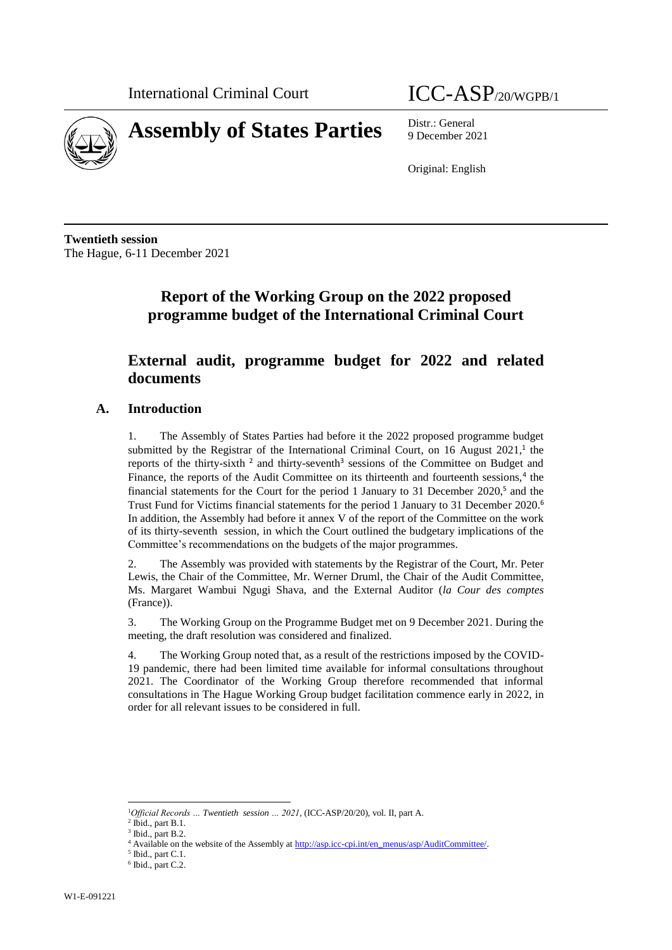

**Assembly of States Parties** Distr.: General

9 December 2021

Original: English

**Twentieth session** The Hague, 6-11 December 2021

# **Report of the Working Group on the 2022 proposed programme budget of the International Criminal Court**

## **External audit, programme budget for 2022 and related documents**

#### **A. Introduction**

1. The Assembly of States Parties had before it the 2022 proposed programme budget submitted by the Registrar of the International Criminal Court, on  $16$  August  $2021$ ,<sup>1</sup> the reports of the thirty-sixth<sup>2</sup> and thirty-seventh<sup>3</sup> sessions of the Committee on Budget and Finance, the reports of the Audit Committee on its thirteenth and fourteenth sessions,<sup>4</sup> the financial statements for the Court for the period 1 January to 31 December 2020, 5 and the Trust Fund for Victims financial statements for the period 1 January to 31 December 2020.<sup>6</sup> In addition, the Assembly had before it annex V of the report of the Committee on the work of its thirty-seventh session, in which the Court outlined the budgetary implications of the Committee's recommendations on the budgets of the major programmes.

2. The Assembly was provided with statements by the Registrar of the Court, Mr. Peter Lewis, the Chair of the Committee, Mr. Werner Druml, the Chair of the Audit Committee, Ms. Margaret Wambui Ngugi Shava, and the External Auditor (*la Cour des comptes* (France)).

3. The Working Group on the Programme Budget met on 9 December 2021. During the meeting, the draft resolution was considered and finalized.

4. The Working Group noted that, as a result of the restrictions imposed by the COVID-19 pandemic, there had been limited time available for informal consultations throughout 2021. The Coordinator of the Working Group therefore recommended that informal consultations in The Hague Working Group budget facilitation commence early in 2022, in order for all relevant issues to be considered in full.

l

<sup>1</sup>*Official Records … Twentieth session … 2021,* (ICC-ASP/20/20), vol. II, part A.

 $<sup>2</sup>$  Ibid., part B.1.</sup>

 $3$  Ibid., part B.2.

<sup>&</sup>lt;sup>4</sup> Available on the website of the Assembly a[t http://asp.icc-cpi.int/en\\_menus/asp/AuditCommittee/.](http://asp.icc-cpi.int/en_menus/asp/AuditCommittee/)

 $<sup>5</sup>$  Ibid., part C.1.</sup>

 $6$  Ibid., part C.2.